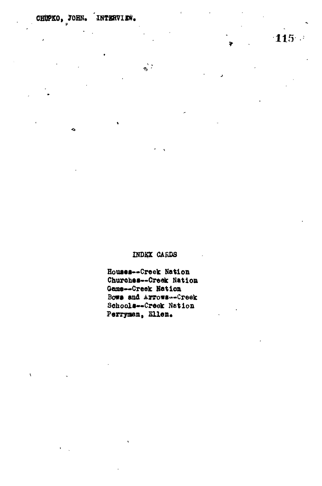♦

 $\mathbf{r}$ 

ä.

## INDEX CARDS

Houses--Creek Nation Churches--Creek Nation Game--Creek Nation Bows and Arrows -- Creek Schools--Creek Nation Perryman, Ellen.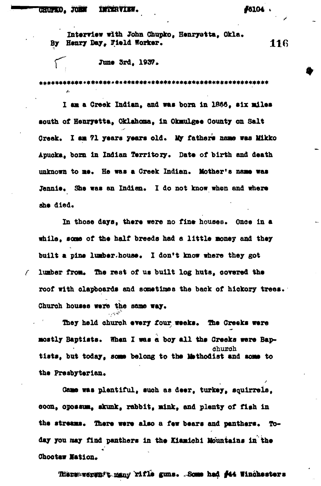## **,** *JOBM URtRYIWS.* **#0104**

 $\mathcal{L}_{\mathbf{r}}$ 

**Interview with John Ghupko, Henryatta, Okla\* By Henry Bey, Field Worker.**

June 3rd. 1937.

\*\*\*\*\*\*\*\*\*\* \*\*\*\*\*\*\*\*\*\*\*\*\*\*\*\*\*\*\*\*\*

**I aa a Crook Indian, and was bora in 1B&8, six miles south of Henryetta, Oklahoma, in Okmulgee County on Salt** Greek. I am 71 years years old. My fathers name was Mikko **Apuoka, bora in Indian Territory\* Data of birth and death** unknown to me. He was a Creek Indian. Mother's name was Jennie. She was an Indian. I do not know when and where aha died.

**In thoae days, there were no fine houses. Once in a while, soae of the half breeds had a little money and they** built a pine lumber.house. I don't know where they got **f lumber from\* the rest of us built log huts, oorered the roof with clapboards and sonstimea the back of hickory trees.** Church houses were the same way.

They held church every four weeks. The Creeks were mostly Baptists. When I was a boy all the Creeks were Bap**church tlsts, but today, some belong to the Methodist and some to** the Presbyterian.

**Game was plentiful, such as deer, turkey, squirrels, coon, opoasta., akunk, rabbit, mink, and plenty of fish in** the streams. There were also a few bears and panthers. To**day you may find panthers in the Eiamiohi Mountains in the Ohoctaw Mation.**

**There-weren't many rifle guns. Some had #44 Winohesters** 

116